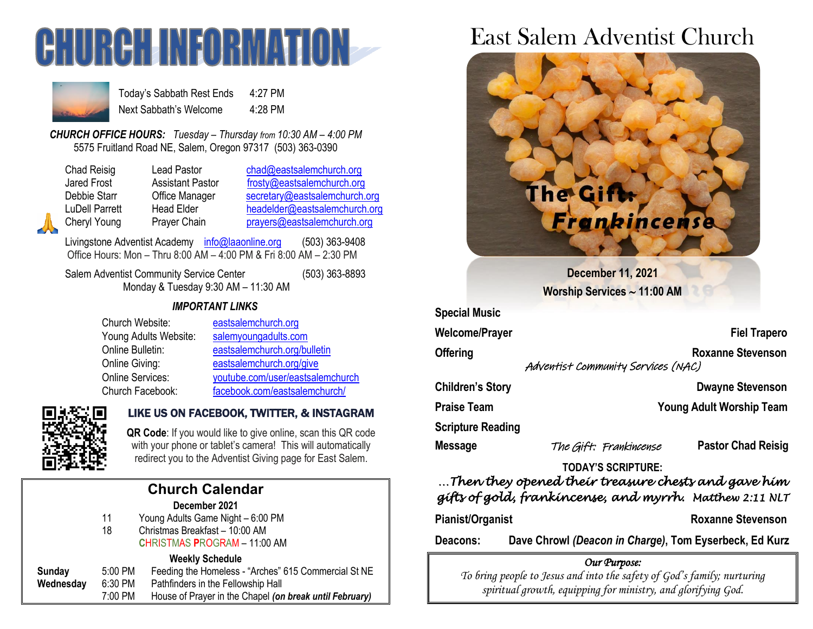



Today's Sabbath Rest Ends 4:27 PM Next Sabbath's Welcome 4:28 PM

*CHURCH OFFICE HOURS: Tuesday – Thursday from 10:30 AM – 4:00 PM* 5575 Fruitland Road NE, Salem, Oregon 97317 (503) 363-0390

| <b>Chad Reisig</b> |
|--------------------|
| <b>Jared Frost</b> |
| Debbie Starr       |
| LuDell Parrett     |
| Cheryl Young       |

Lead Pastor [chad@eastsalemchurch.org](mailto:chad@eastsalemchurch.org) Assistant Pastor [frosty@eastsalemchurch.org](mailto:frosty@eastsalemchurch.org) Office Manager [secretary@eastsalemchurch.org](mailto:secretary@eastsalemchurch.org) Head Elder [headelder@eastsalemchurch.org](mailto:headelder@eastsalemchurch.org) Prayer Chain [prayers@eastsalemchurch.org](mailto:prayers@eastsalemchurch.org)

Livingstone Adventist Academy [info@laaonline.org](mailto:info@laaonline.org) (503) 363-9408 Office Hours: Mon – Thru 8:00 AM – 4:00 PM & Fri 8:00 AM – 2:30 PM

Salem Adventist Community Service Center (503) 363-8893 Monday & Tuesday 9:30 AM – 11:30 AM

#### *IMPORTANT LINKS*

| Church Website:         | eastsalemchurch.org              |
|-------------------------|----------------------------------|
| Young Adults Website:   | salemyoungadults.com             |
| Online Bulletin:        | eastsalemchurch.org/bulletin     |
| Online Giving:          | eastsalemchurch.org/give         |
| <b>Online Services:</b> | youtube.com/user/eastsalemchurch |
| Church Facebook:        | facebook.com/eastsalemchurch/    |



# LIKE US ON FACEBOOK, TWITTER, & INSTAGRAM

**QR Code**: If you would like to give online, scan this QR code with your phone or tablet's camera! This will automatically redirect you to the Adventist Giving page for East Salem.

# **Church Calendar**

#### **December 2021**

11 Young Adults Game Night – 6:00 PM

18 Christmas Breakfast – 10:00 AM **C**HRISTMAS **P**ROGRAM – 11:00 AM

#### **Weekly Schedule**

| Sunday    | $5:00$ PM | Feeding the Homeless - "Arches" 615 Commercial St NE    |
|-----------|-----------|---------------------------------------------------------|
| Wednesday | 6:30 PM   | Pathfinders in the Fellowship Hall                      |
|           | 7:00 PM   | House of Prayer in the Chapel (on break until February) |

# East Salem Adventist Church



**Welcome/Prayer Fiel Trapero Offering Community Community Community Community Roxanne Stevenson** 

Adventist Community Services (NAC)

**Children's Story Dwayne Stevenson** 

**Praise Team Young Adult Worship Team**

**Scripture Reading** 

**Message** The Gift: Frankincense **Pastor Chad Reisig**

#### **TODAY'S SCRIPTURE:**

# *…Then they opened their treasure chests and gave him gifts of gold, frankincense, and myrrh. Matthew 2:11 NLT*

Pianist/Organist **Roxanne Stevenson** 

**Deacons: Dave Chrowl** *(Deacon in Charge)***, Tom Eyserbeck, Ed Kurz**

#### *Our Purpose:*

*To bring people to Jesus and into the safety of God's family; nurturing spiritual growth, equipping for ministry, and glorifying God.*